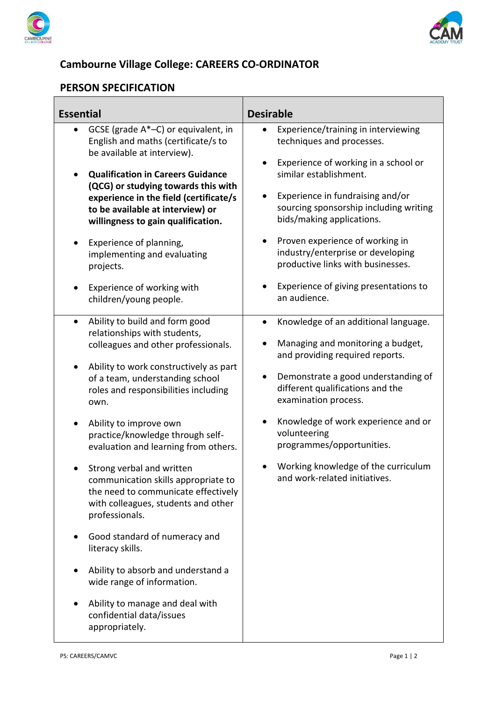



## **Cambourne Village College: CAREERS CO-ORDINATOR**

## **PERSON SPECIFICATION**

| <b>Essential</b>                                                                                                                                                                                                                                                                                                                                                                                                                                                                                                                                                                                                                                                                                                                         | <b>Desirable</b>                                                                                                                                                                                                                                                                                                                                                                                                                                           |
|------------------------------------------------------------------------------------------------------------------------------------------------------------------------------------------------------------------------------------------------------------------------------------------------------------------------------------------------------------------------------------------------------------------------------------------------------------------------------------------------------------------------------------------------------------------------------------------------------------------------------------------------------------------------------------------------------------------------------------------|------------------------------------------------------------------------------------------------------------------------------------------------------------------------------------------------------------------------------------------------------------------------------------------------------------------------------------------------------------------------------------------------------------------------------------------------------------|
| GCSE (grade A*-C) or equivalent, in<br>English and maths (certificate/s to<br>be available at interview).<br><b>Qualification in Careers Guidance</b><br>(QCG) or studying towards this with<br>experience in the field (certificate/s<br>to be available at interview) or<br>willingness to gain qualification.<br>Experience of planning,<br>implementing and evaluating<br>projects.<br>Experience of working with<br>children/young people.                                                                                                                                                                                                                                                                                          | Experience/training in interviewing<br>techniques and processes.<br>Experience of working in a school or<br>similar establishment.<br>Experience in fundraising and/or<br>$\bullet$<br>sourcing sponsorship including writing<br>bids/making applications.<br>Proven experience of working in<br>$\bullet$<br>industry/enterprise or developing<br>productive links with businesses.<br>Experience of giving presentations to<br>$\bullet$<br>an audience. |
| Ability to build and form good<br>$\bullet$<br>relationships with students,<br>colleagues and other professionals.<br>Ability to work constructively as part<br>٠<br>of a team, understanding school<br>roles and responsibilities including<br>own.<br>Ability to improve own<br>practice/knowledge through self-<br>evaluation and learning from others.<br>Strong verbal and written<br>communication skills appropriate to<br>the need to communicate effectively<br>with colleagues, students and other<br>professionals.<br>Good standard of numeracy and<br>literacy skills.<br>Ability to absorb and understand a<br>wide range of information.<br>Ability to manage and deal with<br>confidential data/issues<br>appropriately. | Knowledge of an additional language.<br>$\bullet$<br>Managing and monitoring a budget,<br>and providing required reports.<br>Demonstrate a good understanding of<br>$\bullet$<br>different qualifications and the<br>examination process.<br>Knowledge of work experience and or<br>$\bullet$<br>volunteering<br>programmes/opportunities.<br>Working knowledge of the curriculum<br>and work-related initiatives.                                         |